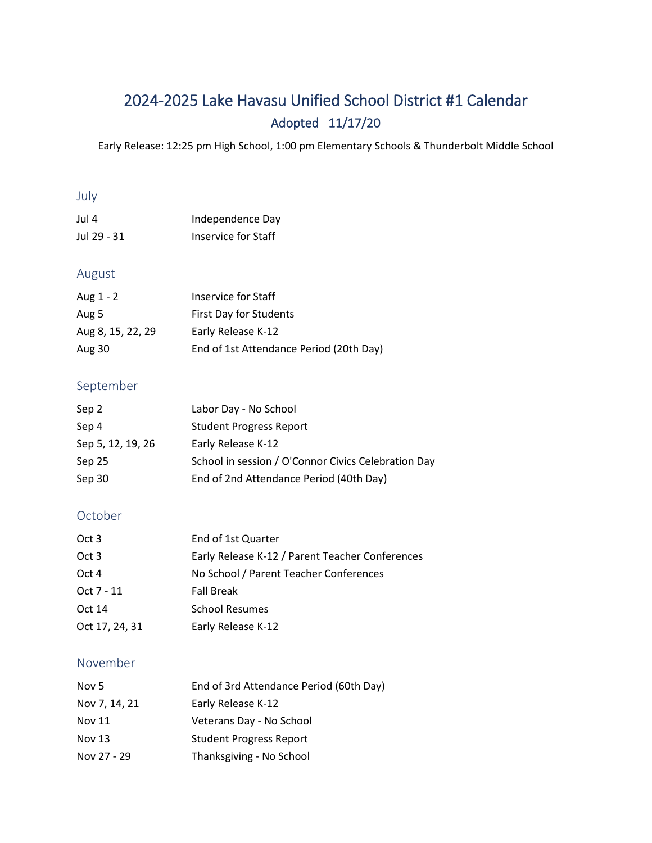# 2024-2025 Lake Havasu Unified School District #1 Calendar Adopted 11/17/20

Early Release: 12:25 pm High School, 1:00 pm Elementary Schools & Thunderbolt Middle School

### July

| Jul 4       | Independence Day    |
|-------------|---------------------|
| Jul 29 - 31 | Inservice for Staff |

## August

| Aug 1 - 2         | Inservice for Staff                     |
|-------------------|-----------------------------------------|
| Aug 5             | First Day for Students                  |
| Aug 8, 15, 22, 29 | Early Release K-12                      |
| Aug 30            | End of 1st Attendance Period (20th Day) |

### September

| Sep 2             | Labor Day - No School                               |
|-------------------|-----------------------------------------------------|
| Sep 4             | <b>Student Progress Report</b>                      |
| Sep 5, 12, 19, 26 | Early Release K-12                                  |
| Sep 25            | School in session / O'Connor Civics Celebration Day |
| Sep 30            | End of 2nd Attendance Period (40th Day)             |

## October

| Oct 3          | End of 1st Quarter                              |
|----------------|-------------------------------------------------|
| Oct 3          | Early Release K-12 / Parent Teacher Conferences |
| Oct 4          | No School / Parent Teacher Conferences          |
| Oct 7 - 11     | <b>Fall Break</b>                               |
| Oct 14         | <b>School Resumes</b>                           |
| Oct 17, 24, 31 | Early Release K-12                              |

### November

| Nov 5         | End of 3rd Attendance Period (60th Day) |
|---------------|-----------------------------------------|
| Nov 7, 14, 21 | Early Release K-12                      |
| Nov 11        | Veterans Day - No School                |
| <b>Nov 13</b> | <b>Student Progress Report</b>          |
| Nov 27 - 29   | Thanksgiving - No School                |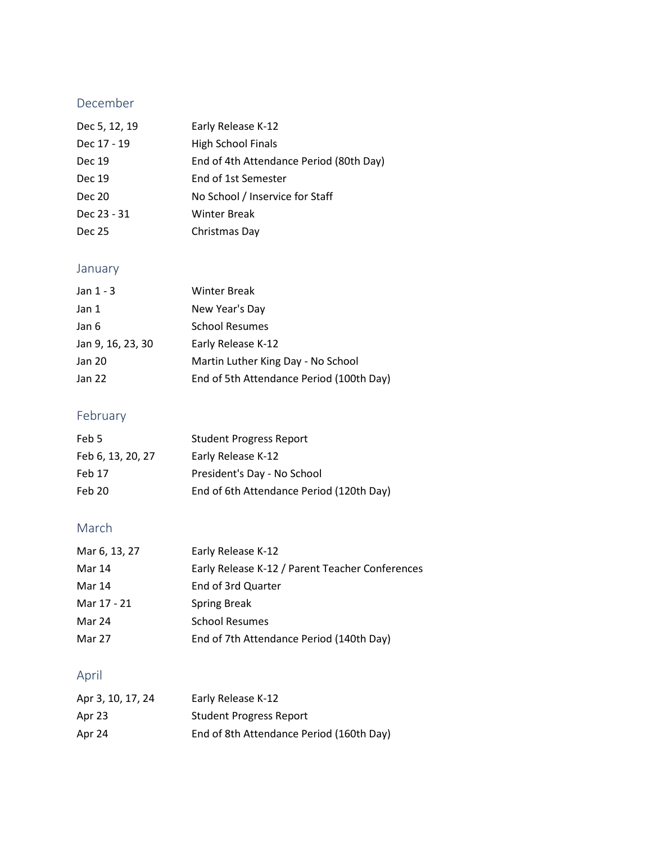## December

| Early Release K-12                      |
|-----------------------------------------|
| <b>High School Finals</b>               |
| End of 4th Attendance Period (80th Day) |
| End of 1st Semester                     |
| No School / Inservice for Staff         |
| <b>Winter Break</b>                     |
| Christmas Day                           |
|                                         |

## January

| Jan $1 - 3$       | <b>Winter Break</b>                      |
|-------------------|------------------------------------------|
| Jan 1             | New Year's Day                           |
| Jan 6             | <b>School Resumes</b>                    |
| Jan 9, 16, 23, 30 | Early Release K-12                       |
| Jan 20            | Martin Luther King Day - No School       |
| Jan 22            | End of 5th Attendance Period (100th Day) |

## February

| Feb 5             | <b>Student Progress Report</b>           |
|-------------------|------------------------------------------|
| Feb 6, 13, 20, 27 | Early Release K-12                       |
| Feb 17            | President's Day - No School              |
| Feb 20            | End of 6th Attendance Period (120th Day) |

## March

| Mar 6, 13, 27 | Early Release K-12                              |
|---------------|-------------------------------------------------|
| Mar 14        | Early Release K-12 / Parent Teacher Conferences |
| Mar 14        | End of 3rd Quarter                              |
| Mar 17 - 21   | <b>Spring Break</b>                             |
| Mar 24        | <b>School Resumes</b>                           |
| Mar 27        | End of 7th Attendance Period (140th Day)        |

## April

| Apr 3, 10, 17, 24 | Early Release K-12                       |
|-------------------|------------------------------------------|
| Apr 23            | <b>Student Progress Report</b>           |
| Apr 24            | End of 8th Attendance Period (160th Day) |